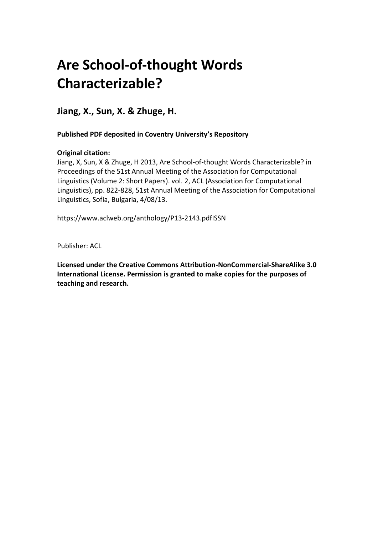# **Are School-of-thought Words Characterizable?**

**Jiang, X., Sun, X. & Zhuge, H.** 

 **Published PDF deposited in Coventry University's Repository**

# **Original citation:**

 Jiang, X, Sun, X & Zhuge, H 2013, Are School-of-thought Words Characterizable? in Proceedings of the 51st Annual Meeting of the Association for Computational Linguistics (Volume 2: Short Papers). vol. 2, ACL (Association for Computational Linguistics), pp. 822-828, 51st Annual Meeting of the Association for Computational Linguistics, Sofia, Bulgaria, 4/08/13.

https://www.aclweb.org/anthology/P13-2143.pdfISSN

Publisher: ACL

 **Licensed under the Creative Commons Attribution-NonCommercial-ShareAlike 3.0 International License. Permission is granted to make copies for the purposes of teaching and research.**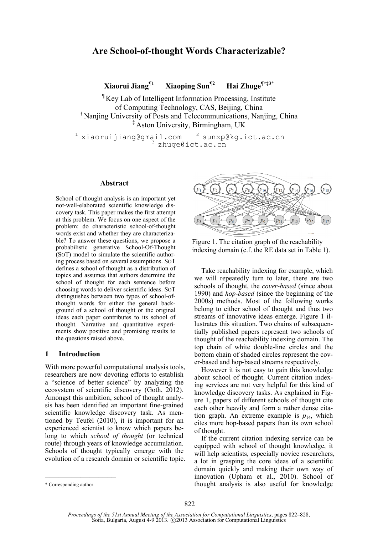## **Are School-of-thought Words Characterizable?**

**Xiaorui Jiang¶1 Xiaoping Sun¶2 Hai Zhuge¶†‡3\***

¶ Key Lab of Intelligent Information Processing, Institute of Computing Technology, CAS, Beijing, China † Nanjing University of Posts and Telecommunications, Nanjing, China ‡ Aston University, Birmingham, UK

 $^1$  xiaoruijiang@gmail.com  $^2$  sunxp@kg.ict.ac.cn<br> $^3$  zhuge@ict.ac.cn

#### **Abstract**

School of thought analysis is an important yet not-well-elaborated scientific knowledge discovery task. This paper makes the first attempt at this problem. We focus on one aspect of the problem: do characteristic school-of-thought words exist and whether they are characterizable? To answer these questions, we propose a probabilistic generative School-Of-Thought (SOT) model to simulate the scientific authoring process based on several assumptions. SOT defines a school of thought as a distribution of topics and assumes that authors determine the school of thought for each sentence before choosing words to deliver scientific ideas. SOT distinguishes between two types of school-ofthought words for either the general background of a school of thought or the original ideas each paper contributes to its school of thought. Narrative and quantitative experiments show positive and promising results to the questions raised above.

## **1 Introduction**

With more powerful computational analysis tools, researchers are now devoting efforts to establish a "science of better science" by analyzing the ecosystem of scientific discovery (Goth, 2012). Amongst this ambition, school of thought analysis has been identified an important fine-grained scientific knowledge discovery task. As mentioned by Teufel (2010), it is important for an experienced scientist to know which papers belong to which *school of thought* (or technical route) through years of knowledge accumulation. Schools of thought typically emerge with the evolution of a research domain or scientific topic.



Figure 1. The citation graph of the reachability indexing domain (c.f. the RE data set in Table 1).

Take reachability indexing for example, which we will repeatedly turn to later, there are two schools of thought, the *cover-based* (since about 1990) and *hop-based* (since the beginning of the 2000s) methods. Most of the following works belong to either school of thought and thus two streams of innovative ideas emerge. Figure 1 illustrates this situation. Two chains of subsequentially published papers represent two schools of thought of the reachability indexing domain. The top chain of white double-line circles and the bottom chain of shaded circles represent the cover-based and hop-based streams respectively.

However it is not easy to gain this knowledge about school of thought. Current citation indexing services are not very helpful for this kind of knowledge discovery tasks. As explained in Figure 1, papers of different schools of thought cite each other heavily and form a rather dense citation graph. An extreme example is  $p_{14}$ , which cites more hop-based papers than its own school of thought.

If the current citation indexing service can be equipped with school of thought knowledge, it will help scientists, especially novice researchers, a lot in grasping the core ideas of a scientific domain quickly and making their own way of innovation (Upham et al., 2010). School of thought analysis is also useful for knowledge

————————————————

<sup>\*</sup> Corresponding author.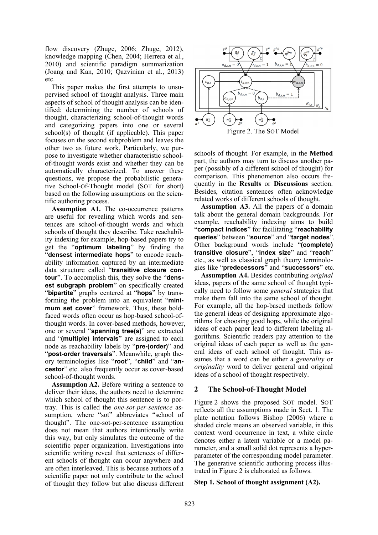flow discovery (Zhuge, 2006; Zhuge, 2012), knowledge mapping (Chen, 2004; Herrera et al., 2010) and scientific paradigm summarization (Joang and Kan, 2010; Qazvinian et al., 2013) etc.

This paper makes the first attempts to unsupervised school of thought analysis. Three main aspects of school of thought analysis can be identified: determining the number of schools of thought, characterizing school-of-thought words and categorizing papers into one or several school(s) of thought (if applicable). This paper focuses on the second subproblem and leaves the other two as future work. Particularly, we purpose to investigate whether characteristic schoolof-thought words exist and whether they can be automatically characterized. To answer these questions, we propose the probabilistic generative School-Of-Thought model (SOT for short) based on the following assumptions on the scientific authoring process.

**Assumption A1.** The co-occurrence patterns are useful for revealing which words and sentences are school-of-thought words and which schools of thought they describe. Take reachability indexing for example, hop-based papers try to get the "**optimum labeling**" by finding the "**densest intermediate hops**" to encode reachability information captured by an intermediate data structure called "**transitive closure contour**". To accomplish this, they solve the "**densest subgraph problem**" on specifically created "**bipartite**" graphs centered at "**hops**" by transforming the problem into an equivalent "**minimum set cover**" framework. Thus, these boldfaced words often occur as hop-based school-ofthought words. In cover-based methods, however, one or several "**spanning tree(s)**" are extracted and "**(multiple) intervals**" are assigned to each node as reachability labels by "**pre-(order)**" and "**post-order traversals**". Meanwhile, graph theory terminologies like "**root**", "**child**" and "**ancestor**" etc. also frequently occur as cover-based school-of-thought words.

**Assumption A2.** Before writing a sentence to deliver their ideas, the authors need to determine which school of thought this sentence is to portray. This is called the *one-sot-per-sentence* assumption, where "sot" abbreviates "school of thought". The one-sot-per-sentence assumption does not mean that authors intentionally write this way, but only simulates the outcome of the scientific paper organization. Investigations into scientific writing reveal that sentences of different schools of thought can occur anywhere and are often interleaved. This is because authors of a scientific paper not only contribute to the school of thought they follow but also discuss different



schools of thought. For example, in the **Method** part, the authors may turn to discuss another paper (possibly of a different school of thought) for comparison. This phenomenon also occurs frequently in the **Results** or **Discussions** section. Besides, citation sentences often acknowledge related works of different schools of thought.

**Assumption A3.** All the papers of a domain talk about the general domain backgrounds. For example, reachability indexing aims to build "**compact indices**" for facilitating "**reachability queries**" between "**source**" and "**target nodes**". Other background words include "**(complete) transitive closure**", "**index size**" and "**reach**" etc., as well as classical graph theory terminologies like "**predecessors**" and "**successors**" etc.

**Assumption A4.** Besides contributing *original* ideas, papers of the same school of thought typically need to follow some *general* strategies that make them fall into the same school of thought. For example, all the hop-based methods follow the general ideas of designing approximate algorithms for choosing good hops, while the original ideas of each paper lead to different labeling algorithms. Scientific readers pay attention to the original ideas of each paper as well as the general ideas of each school of thought. This assumes that a word can be either a *generality* or *originality* word to deliver general and original ideas of a school of thought respectively.

## **2 The School-of-Thought Model**

Figure 2 shows the proposed SOT model. SOT reflects all the assumptions made in Sect. 1. The plate notation follows Bishop (2006) where a shaded circle means an observed variable, in this context word occurrence in text, a white circle denotes either a latent variable or a model parameter, and a small solid dot represents a hyperparameter of the corresponding model parameter. The generative scientific authoring process illustrated in Figure 2 is elaborated as follows.

## **Step 1. School of thought assignment (A2).**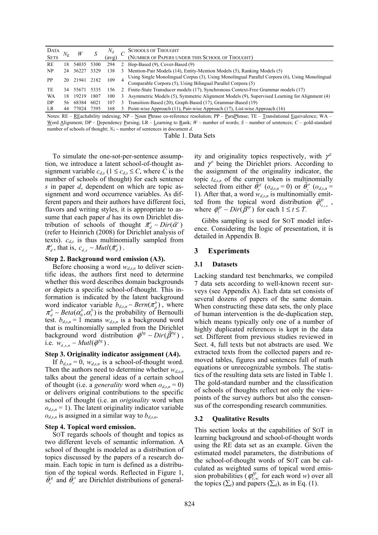| DATA        |     |            |      | $N_d$ |   | <b>SCHOOLS OF THOUGHT</b>                                                                                                                                      |
|-------------|-----|------------|------|-------|---|----------------------------------------------------------------------------------------------------------------------------------------------------------------|
| <b>SETS</b> |     | W          |      | (avg) |   | (NUMBER OF PAPERS UNDER THIS SCHOOL OF THOUGHT)                                                                                                                |
| RE          | 18  | 54035 5300 |      | 294   |   | 2 Hop-Based (9), Cover-Based (9)                                                                                                                               |
| NP          |     | 24 36227   | 3329 | 138   | 3 | Mention-Pair Models (14), Entity-Mention Models (5), Ranking Models (5)                                                                                        |
| PP          | 20  | 21941 2182 |      | 109   | 4 | Using Single Monolingual Corpus (3), Using Monolingual Parallel Corpora (6), Using Monolingual<br>Comparable Corpora (5), Using Bilingual Parallel Corpora (5) |
| TE          |     | 34 55671   | 5335 | l 56  |   | 2 Finite-State Transducer models (17), Synchronous Context-Free Grammar models (17)                                                                            |
| WA          |     | 18 19219   | 1807 | 100   | 3 | Asymmetric Models (5), Symmetric Alignment Models (9), Supervised Learning for Alignment (4)                                                                   |
| DP          | 56. | 68384      | 6021 | 107   | 3 | Transition-Based (20), Graph-Based (17), Grammar-Based (19)                                                                                                    |
| LR          |     | 44 77024   | 7395 | 168   |   | 3 Point-wise Approach (11), Pair-wise Approach (17), List-wise Approach (16)                                                                                   |

Notes: RE – REachability indexing: NP – Noun Phrase co-reference resolution; PP – ParaPhrase; TE – Translational Equivalence; WA – Word Alignment; DP – Dependency Parsing; LR – Learning to Rank; *W* – number of words; *S* – number of sentences; *C* – gold-standard number of schools of thought;  $N_d$  − number of sentences in document *d*.

Table 1. Data Sets

To simulate the one-sot-per-sentence assumption, we introduce a latent school-of-thought assignment variable  $c_{d,s}$  ( $1 \leq c_{d,s} \leq C$ , where *C* is the number of schools of thought) for each sentence *s* in paper *d*, dependent on which are topic assignment and word occurrence variables. As different papers and their authors have different foci, flavors and writing styles, it is appropriate to assume that each paper *d* has its own Dirichlet distribution of schools of thought  $\vec{\pi}_{d}^{c} \sim Dir(\vec{\alpha}^{c})$ (refer to Heinrich (2008) for Dirichlet analysis of texts).  $c_{d,s}$  is thus multinomially sampled from  $\vec{\tau}_{d}^{c}$ , that is,  $c_{d,s} \sim Mult(\vec{\tau}_{d}^{c})$ .

## **Step 2. Background word emission (A3).**

Before choosing a word  $w_{d,s,n}$  to deliver scientific ideas, the authors first need to determine whether this word describes domain backgrounds or depicts a specific school-of-thought. This information is indicated by the latent background word indicator variable  $b_{d,s,n} \sim Bern(\pi_d^b)$ , where  $\pi_d^b \sim Beta(\alpha_0^b, \alpha_1^b)$  is the probability of Bernoulli test.  $b_{d,s,n} = 1$  means  $w_{d,s,n}$  is a background word that is multinomially sampled from the Dirichlet background word distribution  $\vec{\varphi}^{bg} \sim Dir(\beta^{bg})$ ,  $i.e.$   $w_{d,s,n} \sim \text{Mult}(\vec{\phi}^{bg})$ .

## **Step 3. Originality indicator assignment (A4).**

If  $b_{d,s,n} = 0$ ,  $w_{d,s,n}$  is a school-of-thought word. Then the authors need to determine whether  $w_{d,s,n}$ talks about the general ideas of a certain school of thought (i.e. a *generality* word when  $o_{d,s,n} = 0$ ) or delivers original contributions to the specific school of thought (i.e. an *originality* word when  $o_{d,s,n}$  = 1). The latent originality indicator variable  $o_{d,s,n}$  is assigned in a similar way to  $b_{d,s,n}$ .

## **Step 4. Topical word emission.**

SOT regards schools of thought and topics as two different levels of semantic information. A school of thought is modeled as a distribution of topics discussed by the papers of a research domain. Each topic in turn is defined as a distribution of the topical words. Reflected in Figure 1,  $\vec{\theta}_e^s$  and  $\vec{\theta}_e^o$  are Dirichlet distributions of generality and originality topics respectively, with  $\gamma^s$ and  $\gamma^{\circ}$  being the Dirichlet priors. According to the assignment of the originality indicator, the topic  $t_{d,s,n}$  of the current token is multinomially topic  $t_{d,s,n}$  of the current token is multinomially selected from either  $\vec{\theta}_c^s$  ( $o_{d,s,n}$  = 0) or  $\vec{\theta}_c^o$  ( $o_{d,s,n}$  = 1). After that, a word  $w_{d,s,n}$  is multinomially emit-1). After that, a word  $w_{d,s,n}$  is multinomially emit-<br>ted from the topical word distribution  $\vec{\phi}^p_{t_{d,s,n}}$ , where  $\vec{\varphi}^{\text{tp}}_{t} \sim Dir(\vec{\beta}^{\text{tp}})$  for each  $1 \leq t \leq T$ .

Gibbs sampling is used for SOT model inference. Considering the logic of presentation, it is detailed in Appendix B.

## **3 Experiments**

## **3.1 Datasets**

Lacking standard test benchmarks, we compiled 7 data sets according to well-known recent surveys (see Appendix A). Each data set consists of several dozens of papers of the same domain. When constructing these data sets, the only place of human intervention is the de-duplication step, which means typically only one of a number of highly duplicated references is kept in the data set. Different from previous studies reviewed in Sect. 4, full texts but not abstracts are used. We extracted texts from the collected papers and removed tables, figures and sentences full of math equations or unrecognizable symbols. The statistics of the resulting data sets are listed in Table 1. The gold-standard number and the classification of schools of thoughts reflect not only the viewpoints of the survey authors but also the consensus of the corresponding research communities.

## **3.2 Qualitative Results**

This section looks at the capabilities of SOT in learning background and school-of-thought words using the RE data set as an example. Given the estimated model parameters, the distributions of the school-of-thought words of SOT can be calculated as weighted sums of topical word emission probabilities ( $\varphi_{t,w}^{tp}$  for each word *w*) over all the topics  $(\Sigma_i)$  and papers  $(\Sigma_d)$ , as in Eq. (1).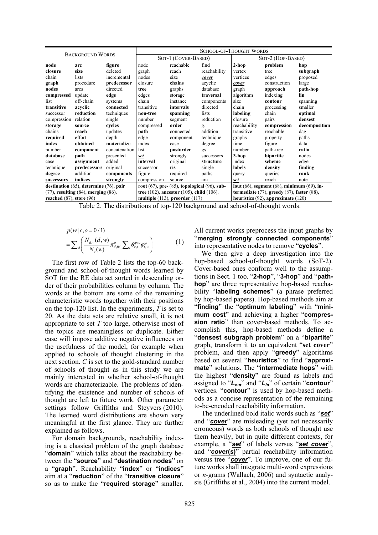|                                              | <b>BACKGROUND WORDS</b>                      |               | <b>SCHOOL-OF-THOUGHT WORDS</b>                        |           |              |                                                     |              |               |
|----------------------------------------------|----------------------------------------------|---------------|-------------------------------------------------------|-----------|--------------|-----------------------------------------------------|--------------|---------------|
|                                              |                                              |               | SOT-1 (COVER-BASED)                                   |           |              | SOT-2 (HOP-BASED)                                   |              |               |
| node                                         | arc                                          | figure        | node                                                  | reachable | find         | $2-hop$                                             | problem      | hop           |
| closure                                      | size                                         | deleted       | graph                                                 | reach     | reachability | vertex                                              | tree         | subgraph      |
| chain                                        | lists                                        | incremental   | nodes                                                 | size      | cover        | vertices                                            | edges        | proposed      |
| graph                                        | procedure                                    | predecessor   | closure                                               | chains    | acyclic      | cover                                               | construction | large         |
| nodes                                        | arcs                                         | directed      | tree                                                  | graphs    | database     | graph                                               | approach     | path-hop      |
| compressed                                   | update                                       | edge          | edges                                                 | storage   | traversal    | algorithm                                           | indexing     | lin           |
| list                                         | off-chain                                    | systems       | chain                                                 | instance  | components   | size                                                | contour      | spanning      |
| transitive                                   | acvelic                                      | connected     | transitive                                            | intervals | directed     | chain                                               | processing   | smaller       |
| successor                                    | reduction                                    | techniques    | non-tree                                              | spanning  | lists        | labeling                                            | chain        | optimal       |
| compression                                  | relation                                     | single        | number                                                | segment   | reduction    | closure                                             | pairs        | densest       |
| storage                                      | source                                       | cycles        | compressed                                            | order     | g.           | reachability                                        | compression  | decomposition |
| chains                                       | reach                                        | updates       | path                                                  | connected | addition     | transitive                                          | reachable    | dag           |
| required                                     | effort                                       | depth         | edge                                                  | component | technique    | graphs                                              | property     | paths         |
| index                                        | obtained                                     | materialize   | index                                                 | case      | degree       | time                                                | figure       | data          |
| number                                       | component                                    | concatenation | list                                                  | postorder | gs           | number                                              | path-tree    | ratio         |
| database                                     | path                                         | presented     | set                                                   | strongly  | successors   | 3-hop                                               | bipartite    | nodes         |
| case                                         | assignment                                   | added         | interval                                              | original  | structure    | index                                               | scheme       | edge          |
| technique                                    | predecessors                                 | original      | successor                                             | ris       | single       | labels                                              | density      | finding       |
| degree                                       | addition                                     | components    | figure                                                | required  | paths        | query                                               | queries      | rank          |
| successors                                   | indices                                      | strongly      | compression                                           | source    | arc          | set                                                 | reach        | note          |
|                                              | destination $(65)$ , determine $(76)$ , pair |               | root $(67)$ , pre- $(85)$ , topological $(96)$ , sub- |           |              | lout $(66)$ , segment $(68)$ , minimum $(69)$ , in- |              |               |
| $(77)$ , resulting $(84)$ , merging $(86)$ , |                                              |               | tree $(102)$ , ancestor $(105)$ , child $(106)$ ,     |           |              | termediate $(77)$ , greedy $(87)$ , faster $(88)$ , |              |               |
| reached $(87)$ , store $(96)$                |                                              |               | multiple $(113)$ , preorder $(117)$                   |           |              | heuristics $(92)$ , approximate $(120)$             |              |               |

Table 2. The distributions of top-120 background and school-of-thought words.

$$
p(w | c, o = 0 / 1)
$$
  
=  $\sum_{d} \left( \frac{N_{d,v}(d, w)}{N_{v}(w)} \pi_{d, 0/1}^{o} \sum_{t} \theta_{c,t}^{g/o} \varphi_{t,w}^{tp} \right)$  (1)

The first row of Table 2 lists the top-60 background and school-of-thought words learned by SOT for the RE data set sorted in descending order of their probabilities column by column. The words at the bottom are some of the remaining characteristic words together with their positions on the top-120 list. In the experiments, *T* is set to 20. As the data sets are relative small, it is not appropriate to set *T* too large, otherwise most of the topics are meaningless or duplicate. Either case will impose additive negative influences on the usefulness of the model, for example when applied to schools of thought clustering in the next section. *C* is set to the gold-standard number of schools of thought as in this study we are mainly interested in whether school-of-thought words are characterizable. The problems of identifying the existence and number of schools of thought are left to future work. Other parameter settings follow Griffiths and Steyvers (2010). The learned word distributions are shown very meaningful at the first glance. They are further explained as follows.

For domain backgrounds, reachability indexing is a classical problem of the graph database "**domain**" which talks about the reachability between the "**source**" and "**destination nodes**" on a "**graph**". Reachability "**index**" or "**indices**" aim at a "**reduction**" of the "**transitive closure**" so as to make the "**required storage**" smaller. All current works preprocess the input graphs by "**merging strongly connected components**" into representative nodes to remove "**cycles**".

We then give a deep investigation into the hop-based school-of-thought words (SoT-2). Cover-based ones conform well to the assumptions in Sect. 1 too. "**2-hop**", "**3-hop**" and "**pathhop**" are three representative hop-based reachability "**labeling schemes**" (a phrase preferred by hop-based papers). Hop-based methods aim at "finding" the "optimum labeling" with "mini**mum cost**" and achieving a higher "**compression ratio**" than cover-based methods. To accomplish this, hop-based methods define a "**densest subgraph problem**" on a "**bipartite**" graph, transform it to an equivalent "**set cover**" problem, and then apply "**greedy**" algorithms based on several "**heuristics**" to find "**approximate**" solutions. The "**intermediate hops**" with the highest "**density**" are found as labels and assigned to "*Lout*" and "*Lin*" of certain "**contour**" vertices. "**contour**" is used by hop-based methods as a concise representation of the remaining to-be-encoded reachability information.

The underlined bold italic words such as "*set*" and "**cover**" are misleading (yet not necessarily erroneous) words as both schools of thought use them heavily, but in quite different contexts, for example, a "*set*" of labels versus "*set cover*", and "*cover***(***s***)**" partial reachability information versus tree "*cover*". To improve, one of our future works shall integrate multi-word expressions or *n*-grams (Wallach, 2006) and syntactic analysis (Griffiths et al., 2004) into the current model.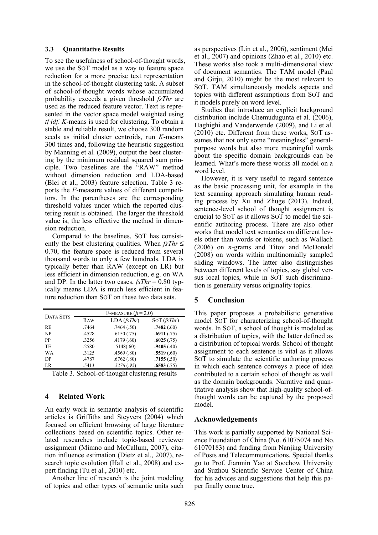#### **3.3 Quantitative Results**

To see the usefulness of school-of-thought words, we use the SOT model as a way to feature space reduction for a more precise text representation in the school-of-thought clustering task. A subset of school-of-thought words whose accumulated probability exceeds a given threshold *fsThr* are used as the reduced feature vector. Text is represented in the vector space model weighted using *tf idf*. *K*-means is used for clustering. To obtain a stable and reliable result, we choose 300 random seeds as initial cluster centroids, run *K*-means 300 times and, following the heuristic suggestion by Manning et al. (2009), output the best clustering by the minimum residual squared sum principle. Two baselines are the "RAW" method without dimension reduction and LDA-based (Blei et al., 2003) feature selection. Table 3 reports the *F*-measure values of different competitors. In the parentheses are the corresponding threshold values under which the reported clustering result is obtained. The larger the threshold value is, the less effective the method in dimension reduction.

Compared to the baselines, SOT has consistently the best clustering qualities. When *fsThr* ≤ 0.70, the feature space is reduced from several thousand words to only a few hundreds. LDA is typically better than RAW (except on LR) but less efficient in dimension reduction, e.g. on WA and DP. In the latter two cases, *fsThr* = 0.80 typically means LDA is much less efficient in feature reduction than SOT on these two data sets.

|                  | F-MEASURE $(\beta = 2.0)$ |            |            |  |  |  |  |
|------------------|---------------------------|------------|------------|--|--|--|--|
| <b>DATA SETS</b> | Raw                       | LDA(fsThr) | SOT(fsThr) |  |  |  |  |
| <b>RE</b>        | .7464                     | .7464(.50) | .7482(.60) |  |  |  |  |
| N <sub>P</sub>   | .4528                     | .6150(.75) | .6911(.75) |  |  |  |  |
| PP               | 3256                      | .4179(.60) | .6025(.75) |  |  |  |  |
| <b>TE</b>        | .2580                     | .5148(.60) | .9405(.40) |  |  |  |  |
| <b>WA</b>        | .3125                     | .4569(.80) | .5519(.60) |  |  |  |  |
| DP               | .4787                     | .6762(.80) | .7155(.50) |  |  |  |  |
| LR.              | .5413                     | .5276(.95) | .6583(.75) |  |  |  |  |
|                  |                           |            |            |  |  |  |  |

|  | Table 3. School-of-thought clustering results |  |
|--|-----------------------------------------------|--|
|  |                                               |  |

## **4 Related Work**

An early work in semantic analysis of scientific articles is Griffiths and Steyvers (2004) which focused on efficient browsing of large literature collections based on scientific topics. Other related researches include topic-based reviewer assignment (Mimno and McCallum, 2007), citation influence estimation (Dietz et al., 2007), research topic evolution (Hall et al., 2008) and expert finding (Tu et al., 2010) etc.

Another line of research is the joint modeling of topics and other types of semantic units such as perspectives (Lin et al., 2006), sentiment (Mei et al., 2007) and opinions (Zhao et al., 2010) etc. These works also took a multi-dimensional view of document semantics. The TAM model (Paul and Girju, 2010) might be the most relevant to SOT. TAM simultaneously models aspects and topics with different assumptions from SOT and it models purely on word level.

Studies that introduce an explicit background distribution include Chemudugunta et al. (2006), Haghighi and Vanderwende (2009), and Li et al. (2010) etc. Different from these works, SOT assumes that not only some "meaningless" generalpurpose words but also more meaningful words about the specific domain backgrounds can be learned. What's more these works all model on a word level.

However, it is very useful to regard sentence as the basic processing unit, for example in the text scanning approach simulating human reading process by Xu and Zhuge (2013). Indeed, sentence-level school of thought assignment is crucial to SOT as it allows SOT to model the scientific authoring process. There are also other works that model text semantics on different levels other than words or tokens, such as Wallach (2006) on *n*-grams and Titov and McDonald (2008) on words within multinomially sampled sliding windows. The latter also distinguishes between different levels of topics, say global versus local topics, while in SOT such discrimination is generality versus originality topics.

## **5 Conclusion**

This paper proposes a probabilistic generative model SOT for characterizing school-of-thought words. In SOT, a school of thought is modeled as a distribution of topics, with the latter defined as a distribution of topical words. School of thought assignment to each sentence is vital as it allows SOT to simulate the scientific authoring process in which each sentence conveys a piece of idea contributed to a certain school of thought as well as the domain backgrounds. Narrative and quantitative analysis show that high-quality school-ofthought words can be captured by the proposed model.

## **Acknowledgements**

This work is partially supported by National Science Foundation of China (No. 61075074 and No. 61070183) and funding from Nanjing University of Posts and Telecommunications. Special thanks go to Prof. Jianmin Yao at Soochow University and Suzhou Scientific Service Center of China for his advices and suggestions that help this paper finally come true.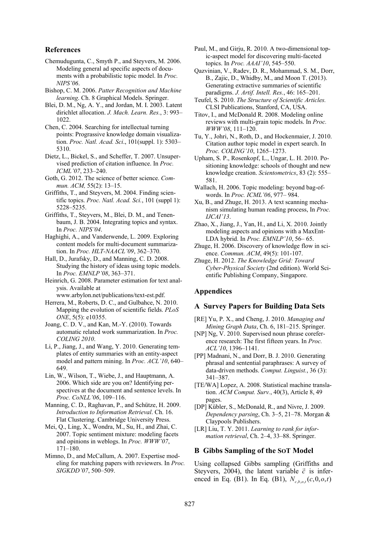## **References**

- Chemudugunta, C., Smyth P., and Steyvers, M. 2006. Modeling general ad specific aspects of documents with a probabilistic topic model. In *Proc. NIPS'06*.
- Bishop, C. M. 2006. *Patter Recognition and Machine learning*. Ch. 8 Graphical Models. Springer.
- Blei, D. M., Ng, A. Y., and Jordan, M. I. 2003. Latent dirichlet allocation. *J. Mach. Learn. Res.*, 3: 993– 1022.

Chen, C. 2004. Searching for intellectual turning points: Prograssive knowledge domain visualization. *Proc. Natl. Acad. Sci*., 101(suppl. 1): 5303– 5310.

Dietz, L., Bickel, S., and Scheffer, T. 2007. Unsupervised prediction of citation influence. In *Proc. ICML'07*, 233–240.

- Goth, G. 2012. The science of better science. *Commun. ACM,* 55(2): 13–15.
- Griffiths, T., and Steyvers, M. 2004. Finding scientific topics. *Proc. Natl. Acad. Sci.*, 101 (suppl 1): 5228–5235.
- Griffiths, T., Steyvers, M., Blei, D. M., and Tenenbaum, J. B. 2004. Integrating topics and syntax. In *Proc. NIPS'04*.
- Haghighi, A., and Vanderwende, L. 2009. Exploring content models for multi-document summarization. In *Proc. HLT-NAACL'09*, 362–370.

Hall, D., Jurafsky, D., and Manning, C. D. 2008. Studying the history of ideas using topic models. In *Proc. EMNLP'08*, 363–371.

Heinrich, G. 2008. Parameter estimation for text analysis. Available at

www.arbylon.net/publications/text-est.pdf.

- Herrera, M., Roberts, D. C., and Gulbahce, N. 2010. Mapping the evolution of scientific fields. *PLoS ONE*, 5(5): e10355.
- Joang, C. D. V., and Kan, M.-Y. (2010). Towards automatic related work summarization. In *Proc. COLING 2010*.
- Li, P., Jiang, J., and Wang, Y. 2010. Generating templates of entity summaries with an entity-aspect model and pattern mining. In *Proc. ACL'10*, 640– 649.

Lin, W., Wilson, T., Wiebe, J., and Hauptmann, A. 2006. Which side are you on? Identifying perspectives at the document and sentence levels. In *Proc. CoNLL'06*, 109–116.

- Manning, C. D., Raghavan, P., and Schütze, H. 2009. *Introduction to Information Retrieval*. Ch. 16. Flat Clustering. Cambridge University Press.
- Mei, Q., Ling, X., Wondra, M., Su, H., and Zhai, C. 2007. Topic sentiment mixture: modeling facets and opinions in weblogs. In *Proc. WWW'07*, 171–180.
- Mimno, D., and McCallum, A. 2007. Expertise modeling for matching papers with reviewers. In *Proc. SIGKDD'07*, 500–509.

Paul, M., and Girju, R. 2010. A two-dimensional topic-aspect model for discovering multi-faceted topics. In *Proc. AAAI'10*, 545–550.

Qazvinian, V., Radev, D. R., Mohammad, S. M., Dorr, B., Zajic, D., Whidby, M., and Moon T. (2013). Generating extractive summaries of scientific paradigms. *J. Artif. Intell. Res.*, 46: 165–201.

- Teufel, S. 2010. *The Structure of Scientific Articles.* CLSI Publications, Stanford, CA, USA.
- Titov, I., and McDonald R. 2008. Modeling online reviews with multi-grain topic models. In *Proc. WWW'08*, 111–120.
- Tu, Y., Johri, N., Roth, D., and Hockenmaier, J. 2010. Citation author topic model in expert search. In *Proc. COLING'10*, 1265–1273.
- Upham, S. P., Rosenkopf, L., Ungar, L. H. 2010. Positioning knowledge: schools of thought and new knowledge creation. *Scientometrics*, 83 (2): 555– 581.
- Wallach, H. 2006. Topic modeling: beyond bag-ofwords. In *Proc. ICML'06*, 977– 984.
- Xu, B., and Zhuge, H. 2013. A text scanning mechanism simulating human reading process, In *Proc. IJCAI'13*.
- Zhao, X., Jiang, J., Yan, H., and Li, X. 2010. Jointly modeling aspects and opinions with a MaxEnt-LDA hybrid. In *Proc. EMNLP'10*, 56– 65.
- Zhuge, H. 2006. Discovery of knowledge flow in science. *Commun. ACM*, 49(5): 101-107.
- Zhuge, H. 2012. *The Knowledge Grid: Toward Cyber-Physical Society* (2nd edition). World Scientific Publishing Company, Singapore.

## **Appendices**

#### **A Survey Papers for Building Data Sets**

- [RE] Yu, P. X., and Cheng, J. 2010. *Managing and Mining Graph Data*, Ch. 6, 181–215. Springer.
- [NP] Ng, V. 2010. Supervised noun phrase coreference research: The first fifteen years. In *Proc. ACL'10*, 1396–1141.
- [PP] Madnani, N., and Dorr, B. J. 2010. Generating phrasal and sentential paraphrases: A survey of data-driven methods. *Comput. Linguist.*, 36 (3): 341–387.
- [TE/WA] Lopez, A. 2008. Statistical machine translation. *ACM Comput. Surv.*, 40(3), Article 8, 49 pages.
- [DP] Kübler, S., McDonald, R., and Nivre, J. 2009. *Dependency parsing*, Ch. 3–5, 21–78. Morgan & Claypools Publishers.
- [LR] Liu, T. Y. 2011. *Learning to rank for information retrieval*, Ch. 2–4, 33–88. Springer.

## **B Gibbs Sampling of the SOT Model**

Using collapsed Gibbs sampling (Griffiths and Using conapsed Globs sampling (Griffins and Steyvers, 2004), the latent variable  $\vec{c}$  is inferenced in Eq. (B1). In Eq. (B1),  $N_{c, b, q, t}(c, 0, o, t)$